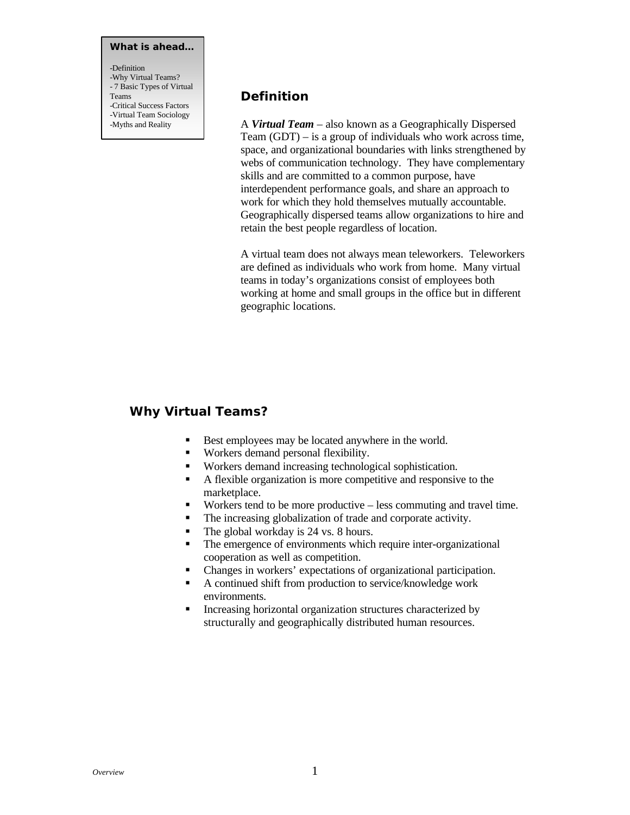#### **What is ahead…**

-Definition -Why Virtual Teams? - 7 Basic Types of Virtual Teams -Critical Success Factors -Virtual Team Sociology -Myths and Reality

## **Definition**

A *Virtual Team* – also known as a Geographically Dispersed Team (GDT) – is a group of individuals who work across time, space, and organizational boundaries with links strengthened by webs of communication technology. They have complementary skills and are committed to a common purpose, have interdependent performance goals, and share an approach to work for which they hold themselves mutually accountable. Geographically dispersed teams allow organizations to hire and retain the best people regardless of location.

A virtual team does not always mean teleworkers. Teleworkers are defined as individuals who work from home. Many virtual teams in today's organizations consist of employees both working at home and small groups in the office but in different geographic locations.

#### **Why Virtual Teams?**

- Best employees may be located anywhere in the world.
- Workers demand personal flexibility.
- Workers demand increasing technological sophistication.
- A flexible organization is more competitive and responsive to the marketplace.
- Workers tend to be more productive less commuting and travel time.
- The increasing globalization of trade and corporate activity.
- $\blacksquare$  The global workday is 24 vs. 8 hours.
- The emergence of environments which require inter-organizational cooperation as well as competition.
- ß Changes in workers' expectations of organizational participation.
- $\blacksquare$  A continued shift from production to service/knowledge work environments.
- **EXECUTE:** Increasing horizontal organization structures characterized by structurally and geographically distributed human resources.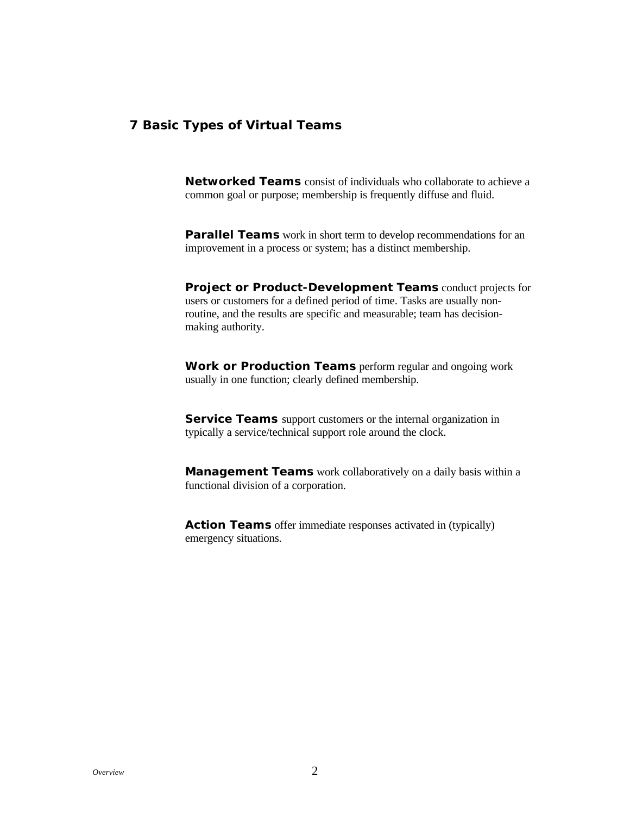### **7 Basic Types of Virtual Teams**

**Networked Teams** consist of individuals who collaborate to achieve a common goal or purpose; membership is frequently diffuse and fluid.

**Parallel Teams** work in short term to develop recommendations for an improvement in a process or system; has a distinct membership.

**Project or Product-Development Teams** conduct projects for users or customers for a defined period of time. Tasks are usually nonroutine, and the results are specific and measurable; team has decisionmaking authority.

**Work or Production Teams** perform regular and ongoing work usually in one function; clearly defined membership.

**Service Teams** support customers or the internal organization in typically a service/technical support role around the clock.

**Management Teams** work collaboratively on a daily basis within a functional division of a corporation.

**Action Teams** offer immediate responses activated in (typically) emergency situations.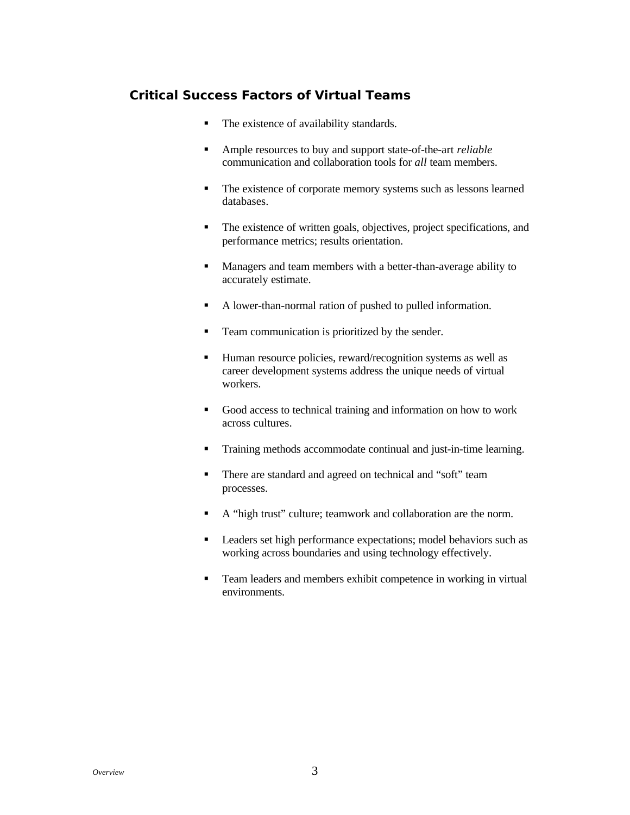# **Critical Success Factors of Virtual Teams**

- The existence of availability standards.
- Ample resources to buy and support state-of-the-art *reliable* communication and collaboration tools for *all* team members.
- The existence of corporate memory systems such as lessons learned databases.
- The existence of written goals, objectives, project specifications, and performance metrics; results orientation.
- **Managers and team members with a better-than-average ability to** accurately estimate.
- A lower-than-normal ration of pushed to pulled information.
- Team communication is prioritized by the sender.
- Human resource policies, reward/recognition systems as well as career development systems address the unique needs of virtual workers.
- Good access to technical training and information on how to work across cultures.
- **Training methods accommodate continual and just-in-time learning.**
- There are standard and agreed on technical and "soft" team processes.
- A "high trust" culture; teamwork and collaboration are the norm.
- **Exercise 1** Leaders set high performance expectations; model behaviors such as working across boundaries and using technology effectively.
- Team leaders and members exhibit competence in working in virtual environments.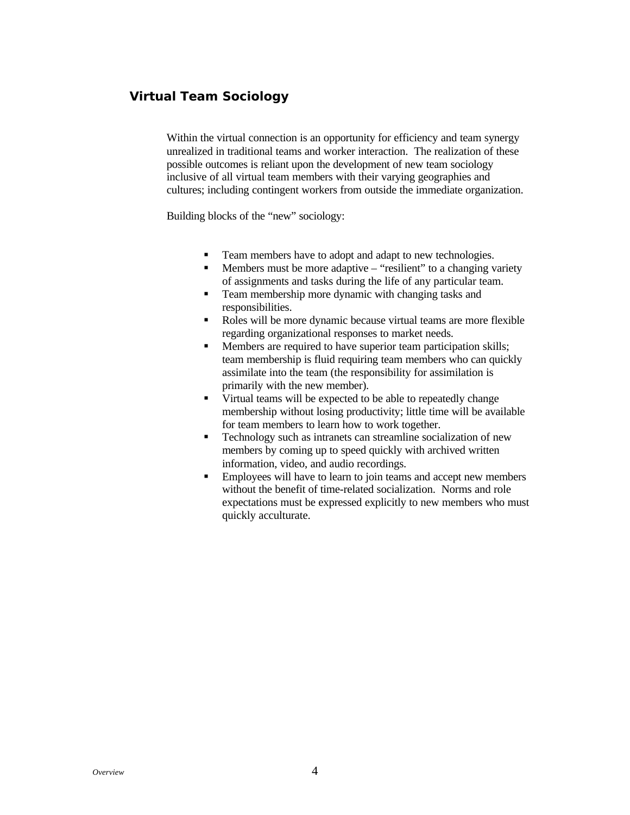# **Virtual Team Sociology**

Within the virtual connection is an opportunity for efficiency and team synergy unrealized in traditional teams and worker interaction. The realization of these possible outcomes is reliant upon the development of new team sociology inclusive of all virtual team members with their varying geographies and cultures; including contingent workers from outside the immediate organization.

Building blocks of the "new" sociology:

- Team members have to adopt and adapt to new technologies.
- $\blacksquare$  Members must be more adaptive "resilient" to a changing variety of assignments and tasks during the life of any particular team.
- **Team membership more dynamic with changing tasks and** responsibilities.
- Roles will be more dynamic because virtual teams are more flexible regarding organizational responses to market needs.
- Members are required to have superior team participation skills: team membership is fluid requiring team members who can quickly assimilate into the team (the responsibility for assimilation is primarily with the new member).
- Virtual teams will be expected to be able to repeatedly change membership without losing productivity; little time will be available for team members to learn how to work together.
- Technology such as intranets can streamline socialization of new members by coming up to speed quickly with archived written information, video, and audio recordings.
- **Employees will have to learn to join teams and accept new members** without the benefit of time-related socialization. Norms and role expectations must be expressed explicitly to new members who must quickly acculturate.